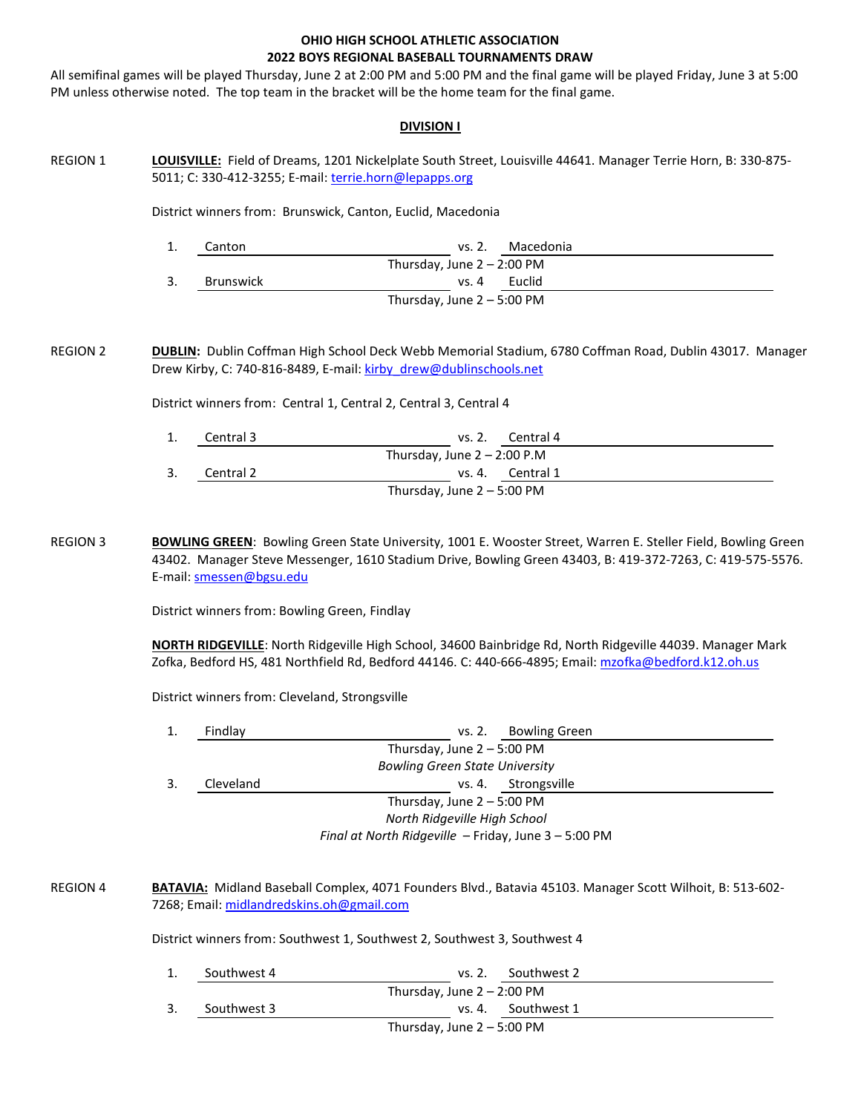### **OHIO HIGH SCHOOL ATHLETIC ASSOCIATION 2022 BOYS REGIONAL BASEBALL TOURNAMENTS DRAW**

All semifinal games will be played Thursday, June 2 at 2:00 PM and 5:00 PM and the final game will be played Friday, June 3 at 5:00 PM unless otherwise noted. The top team in the bracket will be the home team for the final game.

#### **DIVISION I**

REGION 1 **LOUISVILLE:** Field of Dreams, 1201 Nickelplate South Street, Louisville 44641. Manager Terrie Horn, B: 330-875- 5011; C: 330-412-3255; E-mail: terrie.horn@lepapps.org

District winners from: Brunswick, Canton, Euclid, Macedonia

| ᅩ. | Canton                       | vs. 2.  | Macedonia |  |  |
|----|------------------------------|---------|-----------|--|--|
|    | Thursday, June $2 - 2:00$ PM |         |           |  |  |
| 3. | Brunswick                    | vs. $4$ | Euclid    |  |  |
|    | Thursday, June $2 - 5:00$ PM |         |           |  |  |

REGION 2 **DUBLIN:** Dublin Coffman High School Deck Webb Memorial Stadium, 6780 Coffman Road, Dublin 43017. Manager Drew Kirby, C: 740-816-8489, E-mail[: kirby\\_drew@dublinschools.net](mailto:kirby_drew@dublinschools.net)

District winners from: Central 1, Central 2, Central 3, Central 4

|    | Central 3                    | vs. 2. Central 4              |  |  |  |
|----|------------------------------|-------------------------------|--|--|--|
|    |                              | Thursday, June $2 - 2:00$ P.M |  |  |  |
| 3. | Central 2                    | vs. 4. Central 1              |  |  |  |
|    | Thursday, June $2 - 5:00$ PM |                               |  |  |  |

REGION 3 **BOWLING GREEN**: Bowling Green State University, 1001 E. Wooster Street, Warren E. Steller Field, Bowling Green 43402. Manager Steve Messenger, 1610 Stadium Drive, Bowling Green 43403, B: 419-372-7263, C: 419-575-5576. E-mail: [smessen@bgsu.edu](mailto:smessen@bgsu.edu)

District winners from: Bowling Green, Findlay

**NORTH RIDGEVILLE**: North Ridgeville High School, 34600 Bainbridge Rd, North Ridgeville 44039. Manager Mark Zofka, Bedford HS, 481 Northfield Rd, Bedford 44146. C: 440-666-4895; Email: [mzofka@bedford.k12.oh.us](mailto:mzofka@bedford.k12.oh.us)

District winners from: Cleveland, Strongsville

|    | Findlay                                              | <b>Bowling Green</b><br>vs. 2. |  |  |  |  |
|----|------------------------------------------------------|--------------------------------|--|--|--|--|
|    | Thursday, June $2 - 5:00$ PM                         |                                |  |  |  |  |
|    | <b>Bowling Green State University</b>                |                                |  |  |  |  |
| 3. | Cleveland                                            | Strongsville<br>vs. 4.         |  |  |  |  |
|    | Thursday, June $2 - 5:00$ PM                         |                                |  |  |  |  |
|    | North Ridgeville High School                         |                                |  |  |  |  |
|    | Final at North Ridgeville - Friday, June 3 - 5:00 PM |                                |  |  |  |  |

REGION 4 **BATAVIA:** Midland Baseball Complex, 4071 Founders Blvd., Batavia 45103. Manager Scott Wilhoit, B: 513-602-7268; Email: [midlandredskins.oh@gmail.com](mailto:midlandredskins.oh@gmail.com)

District winners from: Southwest 1, Southwest 2, Southwest 3, Southwest 4

|                              | Southwest 4 | Southwest 2<br>vs. 2.        |  |  |
|------------------------------|-------------|------------------------------|--|--|
|                              |             | Thursday, June $2 - 2:00$ PM |  |  |
| 3.                           | Southwest 3 | vs. 4. Southwest 1           |  |  |
| Thursday, June $2 - 5:00$ PM |             |                              |  |  |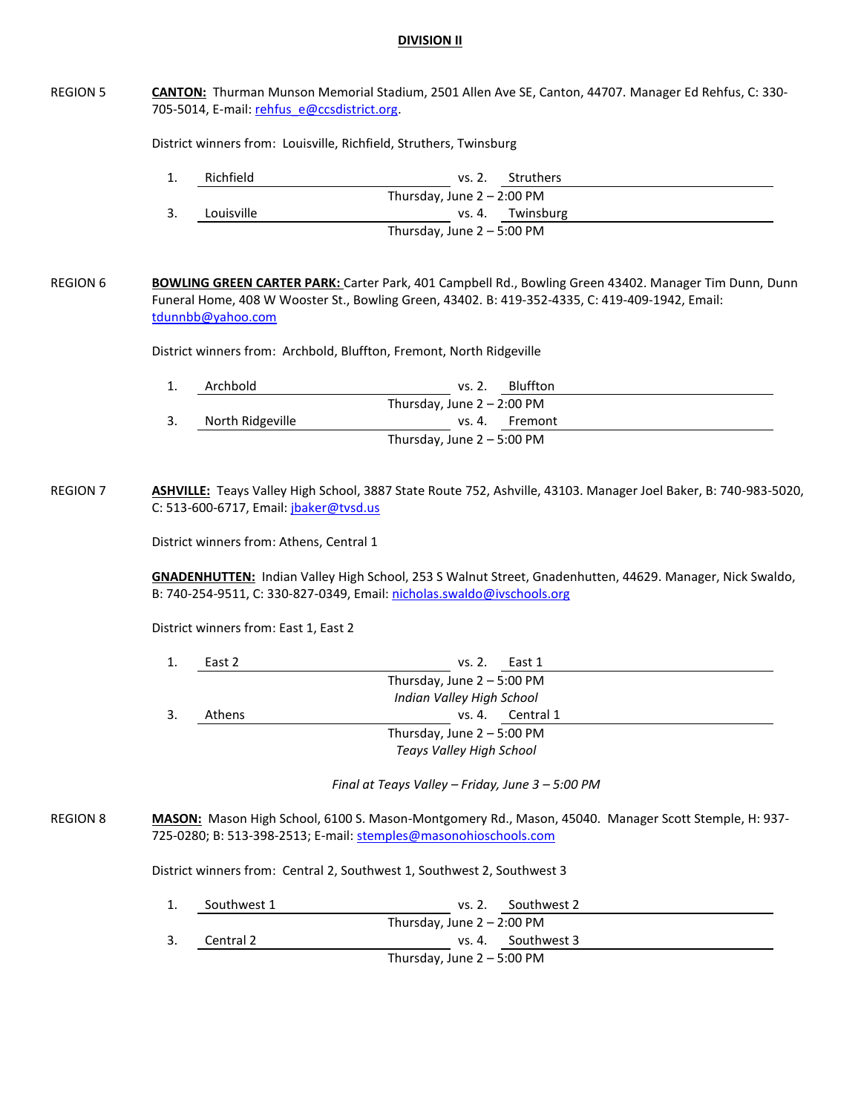### **DIVISION II**

# REGION 5 CANTON: Thurman Munson Memorial Stadium, 2501 Allen Ave SE, Canton, 44707. Manager Ed Rehfus, C: 330-705-5014, E-mail[: rehfus\\_e@ccsdistrict.org.](mailto:rehfus_e@ccsdistrict.org) District winners from: Louisville, Richfield, Struthers, Twinsburg 1. Richfield vs. 2. Struthers Thursday, June  $2 - 2:00$  PM 3. Louisville vs. 4. Twinsburg Thursday, June 2 – 5:00 PM REGION 6 **BOWLING GREEN CARTER PARK:** Carter Park, 401 Campbell Rd., Bowling Green 43402. Manager Tim Dunn, Dunn Funeral Home, 408 W Wooster St., Bowling Green, 43402. B: 419-352-4335, C: 419-409-1942, Email: [tdunnbb@yahoo.com](mailto:tdunnbb@yahoo.com) District winners from: Archbold, Bluffton, Fremont, North Ridgeville 1. Archbold vs. 2. Bluffton Thursday, June  $2 - 2:00$  PM 3. North Ridgeville vs. 4. Fremont Thursday, June 2 – 5:00 PM REGION 7 **ASHVILLE:** Teays Valley High School, 3887 State Route 752, Ashville, 43103. Manager Joel Baker, B: 740-983-5020, C: 513-600-6717, Email: [jbaker@tvsd.us](mailto:jbaker@tvsd.us) District winners from: Athens, Central 1 **GNADENHUTTEN:** Indian Valley High School, 253 S Walnut Street, Gnadenhutten, 44629. Manager, Nick Swaldo, B: 740-254-9511, C: 330-827-0349, Email: [nicholas.swaldo@ivschools.org](mailto:nicholas.swaldo@ivschools.org) District winners from: East 1, East 2 1. East 2 vs. 2. East 1 Thursday, June 2 – 5:00 PM *Indian Valley High School* 3. Athens vs. 4. Central 1 Thursday, June 2 – 5:00 PM *Teays Valley High School Final at Teays Valley – Friday, June 3 – 5:00 PM* REGION 8 **MASON:** Mason High School, 6100 S. Mason-Montgomery Rd., Mason, 45040. Manager Scott Stemple, H: 937-725-0280; B: 513-398-2513; E-mail: [stemples@masonohioschools.com](mailto:stemples@masonohioschools.com) District winners from: Central 2, Southwest 1, Southwest 2, Southwest 3 1. Southwest 1 vs. 2. Southwest 2 Thursday, June  $2 - 2:00$  PM 3. Central 2 vs. 4. Southwest 3 Thursday, June 2 – 5:00 PM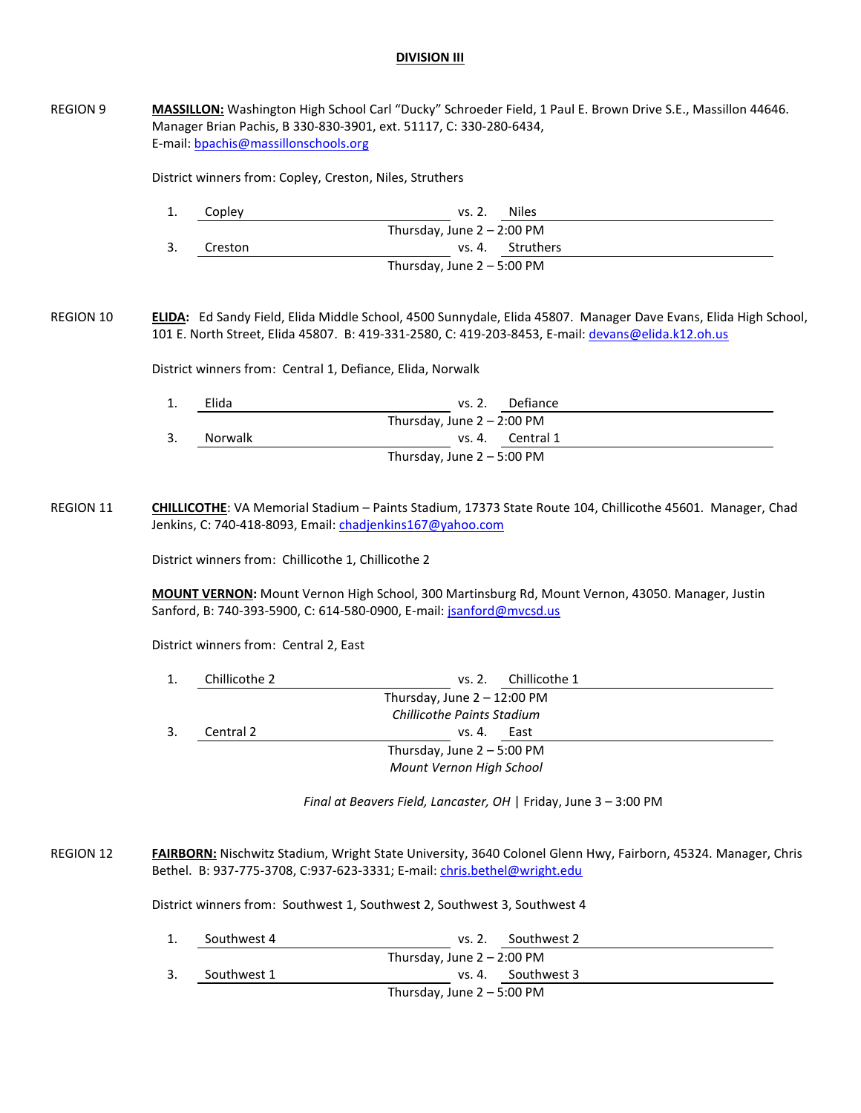## **DIVISION III**

| <b>REGION 9</b>  | MASSILLON: Washington High School Carl "Ducky" Schroeder Field, 1 Paul E. Brown Drive S.E., Massillon 44646.<br>Manager Brian Pachis, B 330-830-3901, ext. 51117, C: 330-280-6434,<br>E-mail: bpachis@massillonschools.org |               |                                                                           |                                                                                                                                                                                                                       |  |
|------------------|----------------------------------------------------------------------------------------------------------------------------------------------------------------------------------------------------------------------------|---------------|---------------------------------------------------------------------------|-----------------------------------------------------------------------------------------------------------------------------------------------------------------------------------------------------------------------|--|
|                  | District winners from: Copley, Creston, Niles, Struthers                                                                                                                                                                   |               |                                                                           |                                                                                                                                                                                                                       |  |
|                  | 1.                                                                                                                                                                                                                         | Copley        | vs. 2.                                                                    | <b>Niles</b>                                                                                                                                                                                                          |  |
|                  |                                                                                                                                                                                                                            |               | Thursday, June $2 - 2:00$ PM                                              |                                                                                                                                                                                                                       |  |
|                  | 3.                                                                                                                                                                                                                         | Creston       |                                                                           | vs. 4. Struthers                                                                                                                                                                                                      |  |
|                  |                                                                                                                                                                                                                            |               | Thursday, June $2 - 5:00$ PM                                              |                                                                                                                                                                                                                       |  |
| <b>REGION 10</b> |                                                                                                                                                                                                                            |               |                                                                           | ELIDA: Ed Sandy Field, Elida Middle School, 4500 Sunnydale, Elida 45807. Manager Dave Evans, Elida High School,<br>101 E. North Street, Elida 45807. B: 419-331-2580, C: 419-203-8453, E-mail: devans@elida.k12.oh.us |  |
|                  |                                                                                                                                                                                                                            |               | District winners from: Central 1, Defiance, Elida, Norwalk                |                                                                                                                                                                                                                       |  |
|                  | 1.                                                                                                                                                                                                                         | Elida         | vs. 2.                                                                    | Defiance                                                                                                                                                                                                              |  |
|                  |                                                                                                                                                                                                                            |               | Thursday, June $2 - 2:00$ PM                                              |                                                                                                                                                                                                                       |  |
|                  | 3.                                                                                                                                                                                                                         | Norwalk       | vs. 4.                                                                    | Central 1                                                                                                                                                                                                             |  |
|                  |                                                                                                                                                                                                                            |               | Thursday, June $2 - 5:00$ PM                                              |                                                                                                                                                                                                                       |  |
|                  | MOUNT VERNON: Mount Vernon High School, 300 Martinsburg Rd, Mount Vernon, 43050. Manager, Justin<br>Sanford, B: 740-393-5900, C: 614-580-0900, E-mail: jsanford@mvcsd.us<br>District winners from: Central 2, East         |               |                                                                           |                                                                                                                                                                                                                       |  |
|                  | 1.                                                                                                                                                                                                                         | Chillicothe 2 | vs. 2.                                                                    | Chillicothe 1                                                                                                                                                                                                         |  |
|                  |                                                                                                                                                                                                                            |               | Thursday, June $2 - 12:00$ PM                                             |                                                                                                                                                                                                                       |  |
|                  |                                                                                                                                                                                                                            |               | <b>Chillicothe Paints Stadium</b>                                         |                                                                                                                                                                                                                       |  |
|                  | 3.                                                                                                                                                                                                                         | Central 2     | vs. 4. East                                                               |                                                                                                                                                                                                                       |  |
|                  |                                                                                                                                                                                                                            |               | Thursday, June $2 - 5:00$ PM                                              |                                                                                                                                                                                                                       |  |
|                  |                                                                                                                                                                                                                            |               | Mount Vernon High School                                                  |                                                                                                                                                                                                                       |  |
|                  |                                                                                                                                                                                                                            |               | Final at Beavers Field, Lancaster, OH   Friday, June 3 - 3:00 PM          |                                                                                                                                                                                                                       |  |
| <b>REGION 12</b> |                                                                                                                                                                                                                            |               | Bethel. B: 937-775-3708, C:937-623-3331; E-mail: chris.bethel@wright.edu  | FAIRBORN: Nischwitz Stadium, Wright State University, 3640 Colonel Glenn Hwy, Fairborn, 45324. Manager, Chris                                                                                                         |  |
|                  |                                                                                                                                                                                                                            |               | District winners from: Southwest 1, Southwest 2, Southwest 3, Southwest 4 |                                                                                                                                                                                                                       |  |
|                  | 1.                                                                                                                                                                                                                         | Southwest 4   | vs. 2.                                                                    | Southwest 2                                                                                                                                                                                                           |  |
|                  |                                                                                                                                                                                                                            |               | Thursday, June $2 - 2:00$ PM                                              |                                                                                                                                                                                                                       |  |
|                  | 3.                                                                                                                                                                                                                         | Southwest 1   | vs. 4.                                                                    | Southwest 3                                                                                                                                                                                                           |  |
|                  |                                                                                                                                                                                                                            |               |                                                                           |                                                                                                                                                                                                                       |  |

Thursday, June 2 – 5:00 PM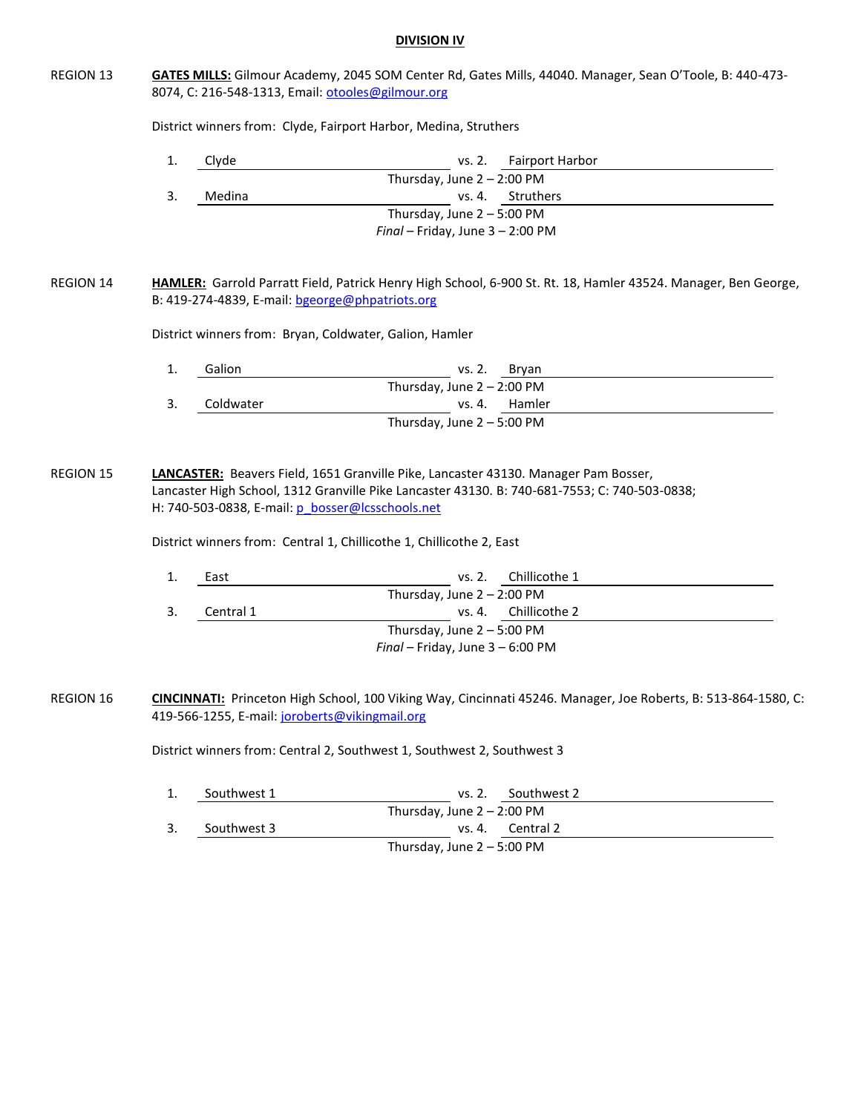## **DIVISION IV**

| <b>REGION 13</b> | GATES MILLS: Gilmour Academy, 2045 SOM Center Rd, Gates Mills, 44040. Manager, Sean O'Toole, B: 440-473-<br>8074, C: 216-548-1313, Email: otooles@gilmour.org                                                             |                                                 |                                                                         |                                                                                                                       |  |
|------------------|---------------------------------------------------------------------------------------------------------------------------------------------------------------------------------------------------------------------------|-------------------------------------------------|-------------------------------------------------------------------------|-----------------------------------------------------------------------------------------------------------------------|--|
|                  | District winners from: Clyde, Fairport Harbor, Medina, Struthers                                                                                                                                                          |                                                 |                                                                         |                                                                                                                       |  |
|                  | 1.                                                                                                                                                                                                                        | Clyde                                           | vs. 2.                                                                  | <b>Fairport Harbor</b>                                                                                                |  |
|                  |                                                                                                                                                                                                                           |                                                 | Thursday, June $2 - 2:00$ PM                                            |                                                                                                                       |  |
|                  | 3.                                                                                                                                                                                                                        | Medina                                          | vs. 4.                                                                  | Struthers                                                                                                             |  |
|                  |                                                                                                                                                                                                                           |                                                 | Thursday, June $2 - 5:00$ PM                                            |                                                                                                                       |  |
|                  |                                                                                                                                                                                                                           |                                                 | $Final - Friday$ , June $3 - 2:00$ PM                                   |                                                                                                                       |  |
| <b>REGION 14</b> |                                                                                                                                                                                                                           | B: 419-274-4839, E-mail: bgeorge@phpatriots.org |                                                                         | HAMLER: Garrold Parratt Field, Patrick Henry High School, 6-900 St. Rt. 18, Hamler 43524. Manager, Ben George,        |  |
|                  |                                                                                                                                                                                                                           |                                                 | District winners from: Bryan, Coldwater, Galion, Hamler                 |                                                                                                                       |  |
|                  | 1.                                                                                                                                                                                                                        | Galion                                          | vs. 2.                                                                  | Bryan                                                                                                                 |  |
|                  |                                                                                                                                                                                                                           |                                                 | Thursday, June $2 - 2:00$ PM                                            |                                                                                                                       |  |
|                  | 3.                                                                                                                                                                                                                        | Coldwater                                       | vs. 4.                                                                  | Hamler                                                                                                                |  |
|                  |                                                                                                                                                                                                                           |                                                 | Thursday, June 2 - 5:00 PM                                              |                                                                                                                       |  |
|                  | Lancaster High School, 1312 Granville Pike Lancaster 43130. B: 740-681-7553; C: 740-503-0838;<br>H: 740-503-0838, E-mail: p_bosser@lcsschools.net<br>District winners from: Central 1, Chillicothe 1, Chillicothe 2, East |                                                 |                                                                         |                                                                                                                       |  |
|                  | 1.                                                                                                                                                                                                                        | East                                            | vs. 2.                                                                  | Chillicothe 1                                                                                                         |  |
|                  |                                                                                                                                                                                                                           |                                                 | Thursday, June $2 - 2:00$ PM                                            |                                                                                                                       |  |
|                  | 3.                                                                                                                                                                                                                        | Central 1                                       | vs. 4.                                                                  | Chillicothe 2                                                                                                         |  |
|                  |                                                                                                                                                                                                                           |                                                 | Thursday, June 2 - 5:00 PM                                              |                                                                                                                       |  |
|                  |                                                                                                                                                                                                                           |                                                 | Final - Friday, June 3 - 6:00 PM                                        |                                                                                                                       |  |
| <b>REGION 16</b> |                                                                                                                                                                                                                           | 419-566-1255, E-mail: joroberts@vikingmail.org  |                                                                         | <b>CINCINNATI:</b> Princeton High School, 100 Viking Way, Cincinnati 45246. Manager, Joe Roberts, B: 513-864-1580, C: |  |
|                  |                                                                                                                                                                                                                           |                                                 | District winners from: Central 2, Southwest 1, Southwest 2, Southwest 3 |                                                                                                                       |  |
|                  | 1.                                                                                                                                                                                                                        | Southwest 1                                     | vs. 2.<br>Thursday, June $2 - 2:00$ PM                                  | Southwest 2                                                                                                           |  |
|                  | 3.                                                                                                                                                                                                                        | Southwest 3                                     | vs. 4.                                                                  | Central 2                                                                                                             |  |
|                  |                                                                                                                                                                                                                           |                                                 | Thursday, June $2 - 5:00$ PM                                            |                                                                                                                       |  |
|                  |                                                                                                                                                                                                                           |                                                 |                                                                         |                                                                                                                       |  |